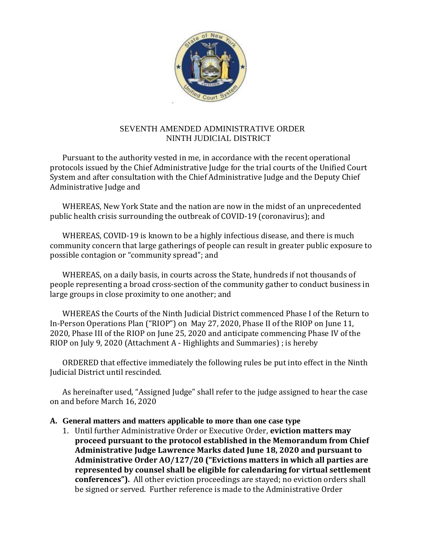

#### SEVENTH AMENDED ADMINISTRATIVE ORDER NINTH JUDICIAL DISTRICT

Pursuant to the authority vested in me, in accordance with the recent operational protocols issued by the Chief Administrative Judge for the trial courts of the Unified Court System and after consultation with the Chief Administrative Judge and the Deputy Chief Administrative Judge and

WHEREAS, New York State and the nation are now in the midst of an unprecedented public health crisis surrounding the outbreak of COVID-19 (coronavirus); and

WHEREAS, COVID-19 is known to be a highly infectious disease, and there is much community concern that large gatherings of people can result in greater public exposure to possible contagion or "community spread"; and

WHEREAS, on a daily basis, in courts across the State, hundreds if not thousands of people representing a broad cross-section of the community gather to conduct business in large groups in close proximity to one another; and

WHEREAS the Courts of the Ninth Judicial District commenced Phase I of the Return to In-Person Operations Plan ("RIOP") on May 27, 2020, Phase II of the RIOP on June 11, 2020, Phase III of the RIOP on June 25, 2020 and anticipate commencing Phase IV of the RIOP on July 9, 2020 (Attachment A - Highlights and Summaries) ; is hereby

ORDERED that effective immediately the following rules be put into effect in the Ninth Judicial District until rescinded.

As hereinafter used, "Assigned Judge" shall refer to the judge assigned to hear the case on and before March 16, 2020

#### **A. General matters and matters applicable to more than one case type**

1. Until further Administrative Order or Executive Order, **eviction matters may proceed pursuant to the protocol established in the Memorandum from Chief Administrative Judge Lawrence Marks dated June 18, 2020 and pursuant to Administrative Order AO/127/20 ("Evictions matters in which all parties are represented by counsel shall be eligible for calendaring for virtual settlement conferences").** All other eviction proceedings are stayed; no eviction orders shall be signed or served. Further reference is made to the Administrative Order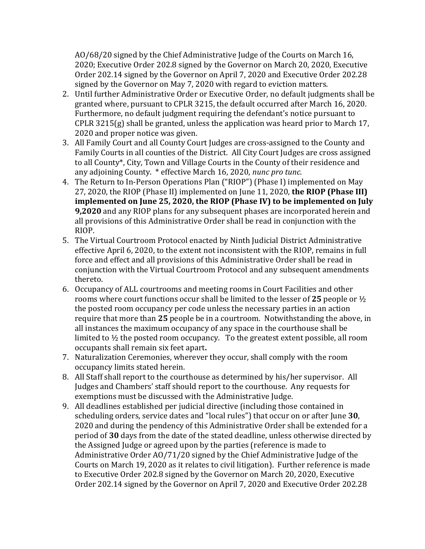AO/68/20 signed by the Chief Administrative Judge of the Courts on March 16, 2020; Executive Order 202.8 signed by the Governor on March 20, 2020, Executive Order 202.14 signed by the Governor on April 7, 2020 and Executive Order 202.28 signed by the Governor on May 7, 2020 with regard to eviction matters.

- 2. Until further Administrative Order or Executive Order, no default judgments shall be granted where, pursuant to CPLR 3215, the default occurred after March 16, 2020. Furthermore, no default judgment requiring the defendant's notice pursuant to CPLR 3215(g) shall be granted, unless the application was heard prior to March 17, 2020 and proper notice was given.
- 3. All Family Court and all County Court Judges are cross-assigned to the County and Family Courts in all counties of the District. All City Court Judges are cross assigned to all County\*, City, Town and Village Courts in the County of their residence and any adjoining County. \* effective March 16, 2020, *nunc pro tunc*.
- 4. The Return to In-Person Operations Plan ("RIOP") (Phase I) implemented on May 27, 2020, the RIOP (Phase II) implemented on June 11, 2020, **the RIOP (Phase III) implemented on June 25, 2020, the RIOP (Phase IV) to be implemented on July 9,2020** and any RIOP plans for any subsequent phases are incorporated herein and all provisions of this Administrative Order shall be read in conjunction with the RIOP.
- 5. The Virtual Courtroom Protocol enacted by Ninth Judicial District Administrative effective April 6, 2020, to the extent not inconsistent with the RIOP, remains in full force and effect and all provisions of this Administrative Order shall be read in conjunction with the Virtual Courtroom Protocol and any subsequent amendments thereto.
- 6. Occupancy of ALL courtrooms and meeting rooms in Court Facilities and other rooms where court functions occur shall be limited to the lesser of **25** people or ½ the posted room occupancy per code unless the necessary parties in an action require that more than **25** people be in a courtroom. Notwithstanding the above, in all instances the maximum occupancy of any space in the courthouse shall be limited to  $\frac{1}{2}$  the posted room occupancy. To the greatest extent possible, all room occupants shall remain six feet apart**.**
- 7. Naturalization Ceremonies, wherever they occur, shall comply with the room occupancy limits stated herein.
- 8. All Staff shall report to the courthouse as determined by his/her supervisor. All Judges and Chambers' staff should report to the courthouse. Any requests for exemptions must be discussed with the Administrative Judge.
- 9. All deadlines established per judicial directive (including those contained in scheduling orders, service dates and "local rules") that occur on or after June **30**, 2020 and during the pendency of this Administrative Order shall be extended for a period of **30** days from the date of the stated deadline, unless otherwise directed by the Assigned Judge or agreed upon by the parties (reference is made to Administrative Order AO/71/20 signed by the Chief Administrative Judge of the Courts on March 19, 2020 as it relates to civil litigation). Further reference is made to Executive Order 202.8 signed by the Governor on March 20, 2020, Executive Order 202.14 signed by the Governor on April 7, 2020 and Executive Order 202.28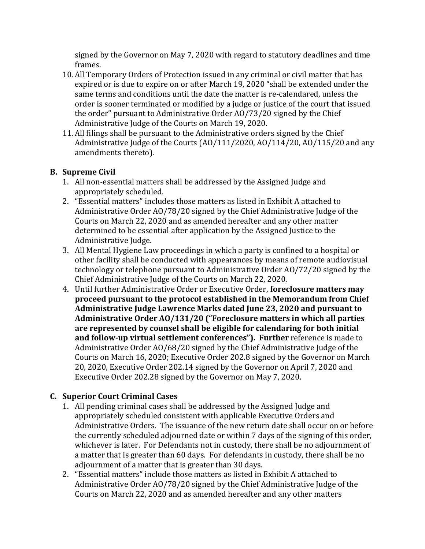signed by the Governor on May 7, 2020 with regard to statutory deadlines and time frames.

- 10. All Temporary Orders of Protection issued in any criminal or civil matter that has expired or is due to expire on or after March 19, 2020 "shall be extended under the same terms and conditions until the date the matter is re-calendared, unless the order is sooner terminated or modified by a judge or justice of the court that issued the order" pursuant to Administrative Order AO/73/20 signed by the Chief Administrative Judge of the Courts on March 19, 2020.
- 11. All filings shall be pursuant to the Administrative orders signed by the Chief Administrative Judge of the Courts (AO/111/2020, AO/114/20, AO/115/20 and any amendments thereto).

## **B. Supreme Civil**

- 1. All non-essential matters shall be addressed by the Assigned Judge and appropriately scheduled.
- 2. "Essential matters" includes those matters as listed in Exhibit A attached to Administrative Order AO/78/20 signed by the Chief Administrative Judge of the Courts on March 22, 2020 and as amended hereafter and any other matter determined to be essential after application by the Assigned Justice to the Administrative Judge.
- 3. All Mental Hygiene Law proceedings in which a party is confined to a hospital or other facility shall be conducted with appearances by means of remote audiovisual technology or telephone pursuant to Administrative Order AO/72/20 signed by the Chief Administrative Judge of the Courts on March 22, 2020.
- 4. Until further Administrative Order or Executive Order, **foreclosure matters may proceed pursuant to the protocol established in the Memorandum from Chief Administrative Judge Lawrence Marks dated June 23, 2020 and pursuant to Administrative Order AO/131/20 ("Foreclosure matters in which all parties are represented by counsel shall be eligible for calendaring for both initial and follow-up virtual settlement conferences"). Further** reference is made to Administrative Order AO/68/20 signed by the Chief Administrative Judge of the Courts on March 16, 2020; Executive Order 202.8 signed by the Governor on March 20, 2020, Executive Order 202.14 signed by the Governor on April 7, 2020 and Executive Order 202.28 signed by the Governor on May 7, 2020.

# **C. Superior Court Criminal Cases**

- 1. All pending criminal cases shall be addressed by the Assigned Judge and appropriately scheduled consistent with applicable Executive Orders and Administrative Orders. The issuance of the new return date shall occur on or before the currently scheduled adjourned date or within 7 days of the signing of this order, whichever is later. For Defendants not in custody, there shall be no adjournment of a matter that is greater than 60 days. For defendants in custody, there shall be no adjournment of a matter that is greater than 30 days.
- 2. "Essential matters" include those matters as listed in Exhibit A attached to Administrative Order AO/78/20 signed by the Chief Administrative Judge of the Courts on March 22, 2020 and as amended hereafter and any other matters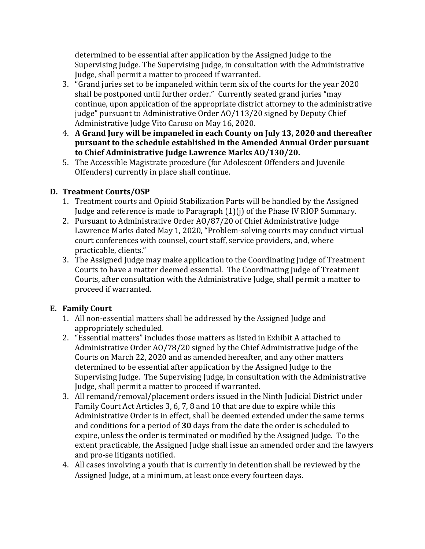determined to be essential after application by the Assigned Judge to the Supervising Judge. The Supervising Judge, in consultation with the Administrative Judge, shall permit a matter to proceed if warranted.

- 3. "Grand juries set to be impaneled within term six of the courts for the year 2020 shall be postponed until further order." Currently seated grand juries "may continue, upon application of the appropriate district attorney to the administrative judge" pursuant to Administrative Order AO/113/20 signed by Deputy Chief Administrative Judge Vito Caruso on May 16, 2020.
- 4. **A Grand Jury will be impaneled in each County on July 13, 2020 and thereafter pursuant to the schedule established in the Amended Annual Order pursuant to Chief Administrative Judge Lawrence Marks AO/130/20.**
- 5. The Accessible Magistrate procedure (for Adolescent Offenders and Juvenile Offenders) currently in place shall continue.

# **D. Treatment Courts/OSP**

- 1. Treatment courts and Opioid Stabilization Parts will be handled by the Assigned Judge and reference is made to Paragraph (1)(j) of the Phase IV RIOP Summary.
- 2. Pursuant to Administrative Order AO/87/20 of Chief Administrative Judge Lawrence Marks dated May 1, 2020, "Problem-solving courts may conduct virtual court conferences with counsel, court staff, service providers, and, where practicable, clients."
- 3. The Assigned Judge may make application to the Coordinating Judge of Treatment Courts to have a matter deemed essential. The Coordinating Judge of Treatment Courts, after consultation with the Administrative Judge, shall permit a matter to proceed if warranted.

# **E. Family Court**

- 1. All non-essential matters shall be addressed by the Assigned Judge and appropriately scheduled.
- 2. "Essential matters" includes those matters as listed in Exhibit A attached to Administrative Order AO/78/20 signed by the Chief Administrative Judge of the Courts on March 22, 2020 and as amended hereafter, and any other matters determined to be essential after application by the Assigned Judge to the Supervising Judge. The Supervising Judge, in consultation with the Administrative Judge, shall permit a matter to proceed if warranted.
- 3. All remand/removal/placement orders issued in the Ninth Judicial District under Family Court Act Articles 3, 6, 7, 8 and 10 that are due to expire while this Administrative Order is in effect, shall be deemed extended under the same terms and conditions for a period of **30** days from the date the order is scheduled to expire, unless the order is terminated or modified by the Assigned Judge. To the extent practicable, the Assigned Judge shall issue an amended order and the lawyers and pro-se litigants notified.
- 4. All cases involving a youth that is currently in detention shall be reviewed by the Assigned Judge, at a minimum, at least once every fourteen days.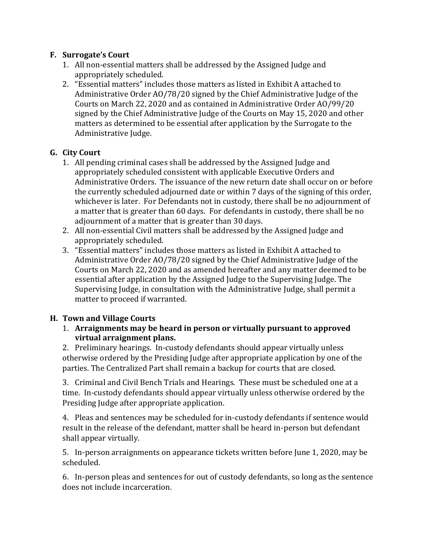### **F. Surrogate's Court**

- 1. All non-essential matters shall be addressed by the Assigned Judge and appropriately scheduled.
- 2. "Essential matters" includes those matters as listed in Exhibit A attached to Administrative Order AO/78/20 signed by the Chief Administrative Judge of the Courts on March 22, 2020 and as contained in Administrative Order AO/99/20 signed by the Chief Administrative Judge of the Courts on May 15, 2020 and other matters as determined to be essential after application by the Surrogate to the Administrative Judge.

### **G. City Court**

- 1. All pending criminal cases shall be addressed by the Assigned Judge and appropriately scheduled consistent with applicable Executive Orders and Administrative Orders. The issuance of the new return date shall occur on or before the currently scheduled adjourned date or within 7 days of the signing of this order, whichever is later. For Defendants not in custody, there shall be no adjournment of a matter that is greater than 60 days. For defendants in custody, there shall be no adjournment of a matter that is greater than 30 days.
- 2. All non-essential Civil matters shall be addressed by the Assigned Judge and appropriately scheduled.
- 3. "Essential matters" includes those matters as listed in Exhibit A attached to Administrative Order AO/78/20 signed by the Chief Administrative Judge of the Courts on March 22, 2020 and as amended hereafter and any matter deemed to be essential after application by the Assigned Judge to the Supervising Judge. The Supervising Judge, in consultation with the Administrative Judge, shall permit a matter to proceed if warranted.

### **H. Town and Village Courts**

#### 1. **Arraignments may be heard in person or virtually pursuant to approved virtual arraignment plans.**

2. Preliminary hearings. In-custody defendants should appear virtually unless otherwise ordered by the Presiding Judge after appropriate application by one of the parties. The Centralized Part shall remain a backup for courts that are closed.

3. Criminal and Civil Bench Trials and Hearings. These must be scheduled one at a time. In-custody defendants should appear virtually unless otherwise ordered by the Presiding Judge after appropriate application.

4. Pleas and sentences may be scheduled for in-custody defendants if sentence would result in the release of the defendant, matter shall be heard in-person but defendant shall appear virtually.

5. In-person arraignments on appearance tickets written before June 1, 2020, may be scheduled.

6. In-person pleas and sentences for out of custody defendants, so long as the sentence does not include incarceration.